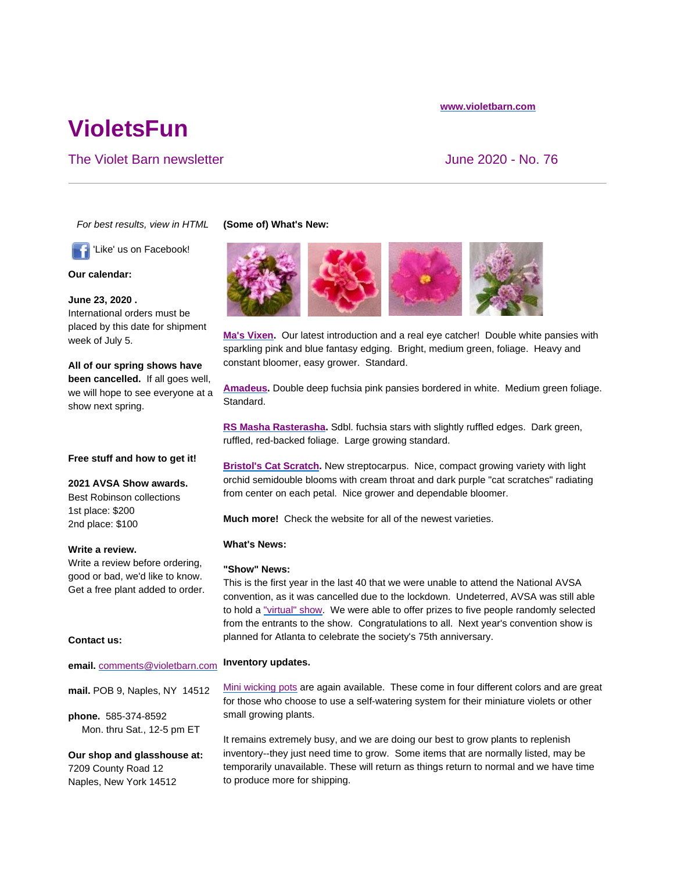#### **www.violetbarn.com**

# **VioletsFun**

## The Violet Barn newsletter The Violet Barn newsletter All the According Solution of the Violet Annual Solution of the Violet Annual Solution of the Violet Annual Solution of the Violet Annual Solution of the Violet Annual

*For best results, view in HTML*

'Like' us on Facebook!

**Our calendar:**

**June 23, 2020 .**  International orders must be placed by this date for shipment week of July 5.

**All of our spring shows have been cancelled.** If all goes well, we will hope to see everyone at a show next spring.

### **Free stuff and how to get it!**

**2021 AVSA Show awards.**

Best Robinson collections 1st place: \$200 2nd place: \$100

**Write a review.**

Write a review before ordering, good or bad, we'd like to know. Get a free plant added to order.

#### **Contact us:**

#### **email.** comments@violetbarn.com

**mail.** POB 9, Naples, NY 14512

**phone.** 585-374-8592 Mon. thru Sat., 12-5 pm ET

**Our shop and glasshouse at:** 7209 County Road 12 Naples, New York 14512

#### **(Some of) What's New:**



**Ma's Vixen.** Our latest introduction and a real eye catcher! Double white pansies with sparkling pink and blue fantasy edging. Bright, medium green, foliage. Heavy and constant bloomer, easy grower. Standard.

**Amadeus.** Double deep fuchsia pink pansies bordered in white. Medium green foliage. Standard.

**RS Masha Rasterasha.** Sdbl. fuchsia stars with slightly ruffled edges. Dark green, ruffled, red-backed foliage. Large growing standard.

**Bristol's Cat Scratch.** New streptocarpus. Nice, compact growing variety with light orchid semidouble blooms with cream throat and dark purple "cat scratches" radiating from center on each petal. Nice grower and dependable bloomer.

**Much more!** Check the website for all of the newest varieties.

#### **What's News:**

#### **"Show" News:**

This is the first year in the last 40 that we were unable to attend the National AVSA convention, as it was cancelled due to the lockdown. Undeterred, AVSA was still able to hold a "virtual" show. We were able to offer prizes to five people randomly selected from the entrants to the show. Congratulations to all. Next year's convention show is planned for Atlanta to celebrate the society's 75th anniversary.

#### **Inventory updates.**

Mini wicking pots are again available. These come in four different colors and are great for those who choose to use a self-watering system for their miniature violets or other small growing plants.

It remains extremely busy, and we are doing our best to grow plants to replenish inventory--they just need time to grow. Some items that are normally listed, may be temporarily unavailable. These will return as things return to normal and we have time to produce more for shipping.